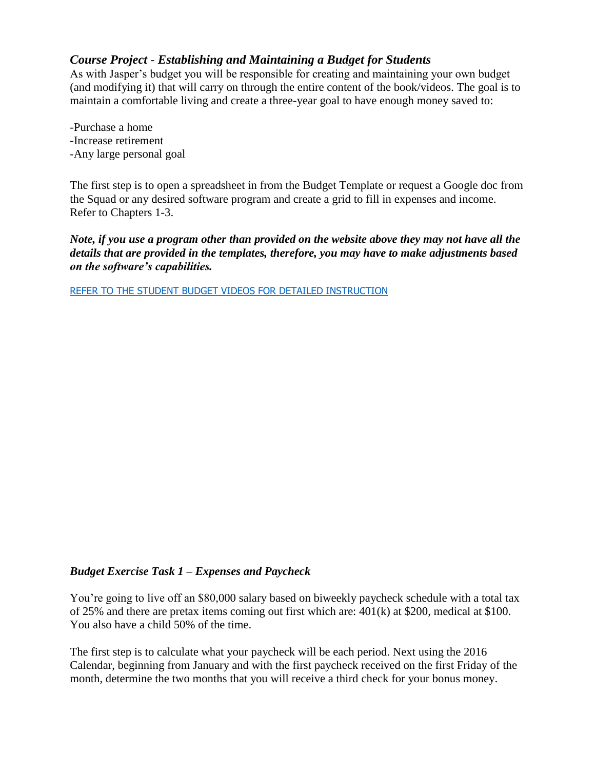# *Course Project - Establishing and Maintaining a Budget for Students*

As with Jasper's budget you will be responsible for creating and maintaining your own budget (and modifying it) that will carry on through the entire content of the book/videos. The goal is to maintain a comfortable living and create a three-year goal to have enough money saved to:

-Purchase a home -Increase retirement -Any large personal goal

The first step is to open a spreadsheet in from the Budget Template or request a Google doc from the Squad or any desired software program and create a grid to fill in expenses and income. Refer to Chapters 1-3.

*Note, if you use a program other than provided on the website above they may not have all the details that are provided in the templates, therefore, you may have to make adjustments based on the software's capabilities.*

[REFER TO THE STUDENT BUDGET](http://www.personalfinancesquad.com/#!budget-exercises-for-students/uy4sa) VIDEOS FOR DETAILED INSTRUCTION

#### *Budget Exercise Task 1 – Expenses and Paycheck*

You're going to live off an \$80,000 salary based on biweekly paycheck schedule with a total tax of 25% and there are pretax items coming out first which are: 401(k) at \$200, medical at \$100. You also have a child 50% of the time.

The first step is to calculate what your paycheck will be each period. Next using the 2016 Calendar, beginning from January and with the first paycheck received on the first Friday of the month, determine the two months that you will receive a third check for your bonus money.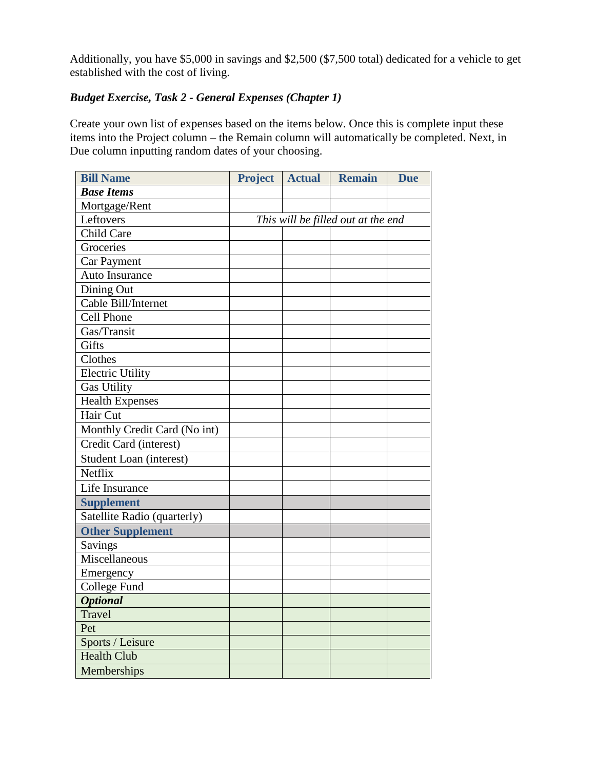Additionally, you have \$5,000 in savings and \$2,500 (\$7,500 total) dedicated for a vehicle to get established with the cost of living.

# *Budget Exercise, Task 2 - General Expenses (Chapter 1)*

Create your own list of expenses based on the items below. Once this is complete input these items into the Project column – the Remain column will automatically be completed. Next, in Due column inputting random dates of your choosing.

| <b>Bill Name</b>             | <b>Project</b> | <b>Actual</b> | <b>Remain</b>                      | <b>Due</b> |
|------------------------------|----------------|---------------|------------------------------------|------------|
| <b>Base Items</b>            |                |               |                                    |            |
| Mortgage/Rent                |                |               |                                    |            |
| Leftovers                    |                |               | This will be filled out at the end |            |
| <b>Child Care</b>            |                |               |                                    |            |
| Groceries                    |                |               |                                    |            |
| Car Payment                  |                |               |                                    |            |
| Auto Insurance               |                |               |                                    |            |
| Dining Out                   |                |               |                                    |            |
| Cable Bill/Internet          |                |               |                                    |            |
| <b>Cell Phone</b>            |                |               |                                    |            |
| Gas/Transit                  |                |               |                                    |            |
| Gifts                        |                |               |                                    |            |
| Clothes                      |                |               |                                    |            |
| <b>Electric Utility</b>      |                |               |                                    |            |
| <b>Gas Utility</b>           |                |               |                                    |            |
| <b>Health Expenses</b>       |                |               |                                    |            |
| Hair Cut                     |                |               |                                    |            |
| Monthly Credit Card (No int) |                |               |                                    |            |
| Credit Card (interest)       |                |               |                                    |            |
| Student Loan (interest)      |                |               |                                    |            |
| Netflix                      |                |               |                                    |            |
| Life Insurance               |                |               |                                    |            |
| <b>Supplement</b>            |                |               |                                    |            |
| Satellite Radio (quarterly)  |                |               |                                    |            |
| <b>Other Supplement</b>      |                |               |                                    |            |
| Savings                      |                |               |                                    |            |
| Miscellaneous                |                |               |                                    |            |
| Emergency                    |                |               |                                    |            |
| <b>College Fund</b>          |                |               |                                    |            |
| <b>Optional</b>              |                |               |                                    |            |
| <b>Travel</b>                |                |               |                                    |            |
| Pet                          |                |               |                                    |            |
| Sports / Leisure             |                |               |                                    |            |
| <b>Health Club</b>           |                |               |                                    |            |
| Memberships                  |                |               |                                    |            |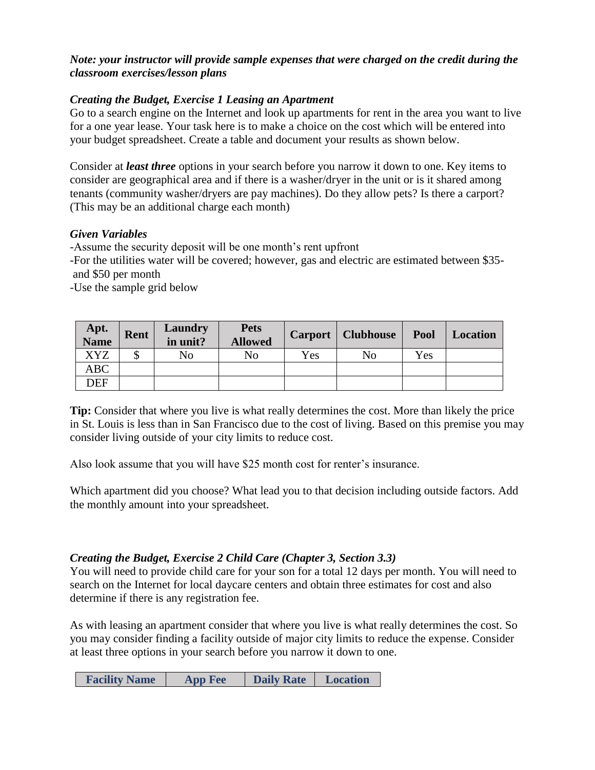## *Note: your instructor will provide sample expenses that were charged on the credit during the classroom exercises/lesson plans*

## *Creating the Budget, Exercise 1 Leasing an Apartment*

Go to a search engine on the Internet and look up apartments for rent in the area you want to live for a one year lease. Your task here is to make a choice on the cost which will be entered into your budget spreadsheet. Create a table and document your results as shown below.

Consider at *least three* options in your search before you narrow it down to one. Key items to consider are geographical area and if there is a washer/dryer in the unit or is it shared among tenants (community washer/dryers are pay machines). Do they allow pets? Is there a carport? (This may be an additional charge each month)

#### *Given Variables*

-Assume the security deposit will be one month's rent upfront

-For the utilities water will be covered; however, gas and electric are estimated between \$35 and \$50 per month

-Use the sample grid below

| <b>Apt.<br/>Name</b> | <b>Rent</b> | Laundry<br>in unit? | <b>Pets</b><br><b>Allowed</b> |     | <b>Carport</b>   <b>Clubhouse</b> | Pool | <b>Location</b> |
|----------------------|-------------|---------------------|-------------------------------|-----|-----------------------------------|------|-----------------|
| XYZ                  |             | No                  | No                            | Yes | No                                | Yes  |                 |
| ABC                  |             |                     |                               |     |                                   |      |                 |
| DEF                  |             |                     |                               |     |                                   |      |                 |

**Tip:** Consider that where you live is what really determines the cost. More than likely the price in St. Louis is less than in San Francisco due to the cost of living. Based on this premise you may consider living outside of your city limits to reduce cost.

Also look assume that you will have \$25 month cost for renter's insurance.

Which apartment did you choose? What lead you to that decision including outside factors. Add the monthly amount into your spreadsheet.

## *Creating the Budget, Exercise 2 Child Care (Chapter 3, Section 3.3)*

You will need to provide child care for your son for a total 12 days per month. You will need to search on the Internet for local daycare centers and obtain three estimates for cost and also determine if there is any registration fee.

As with leasing an apartment consider that where you live is what really determines the cost. So you may consider finding a facility outside of major city limits to reduce the expense. Consider at least three options in your search before you narrow it down to one.

| <b>Facility Name</b> | <b>App Fee</b> | <b>Daily Rate</b> | Location |
|----------------------|----------------|-------------------|----------|
|----------------------|----------------|-------------------|----------|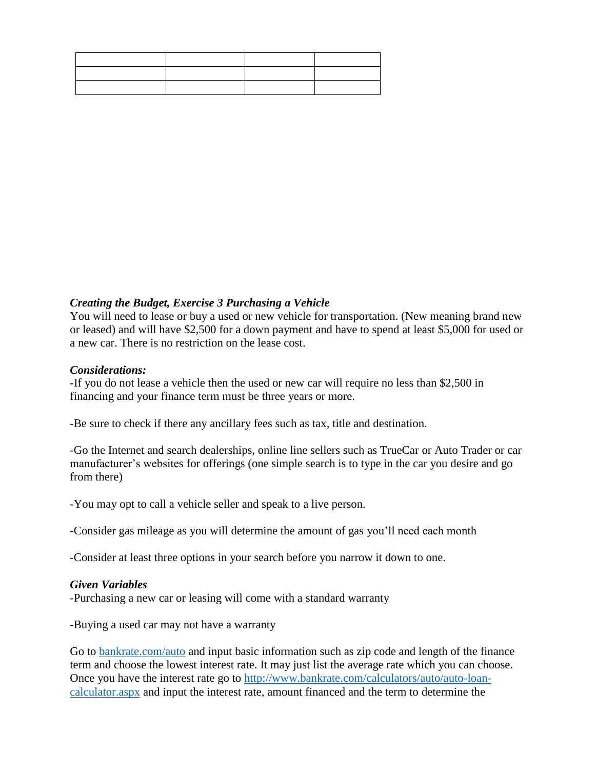#### *Creating the Budget, Exercise 3 Purchasing a Vehicle*

You will need to lease or buy a used or new vehicle for transportation. (New meaning brand new or leased) and will have \$2,500 for a down payment and have to spend at least \$5,000 for used or a new car. There is no restriction on the lease cost.

#### *Considerations:*

-If you do not lease a vehicle then the used or new car will require no less than \$2,500 in financing and your finance term must be three years or more.

-Be sure to check if there any ancillary fees such as tax, title and destination.

-Go the Internet and search dealerships, online line sellers such as TrueCar or Auto Trader or car manufacturer's websites for offerings (one simple search is to type in the car you desire and go from there)

-You may opt to call a vehicle seller and speak to a live person.

-Consider gas mileage as you will determine the amount of gas you'll need each month

-Consider at least three options in your search before you narrow it down to one.

#### *Given Variables*

-Purchasing a new car or leasing will come with a standard warranty

-Buying a used car may not have a warranty

Go to [bankrate.com/auto](http://www.bankrate.com/auto.aspx) and input basic information such as zip code and length of the finance term and choose the lowest interest rate. It may just list the average rate which you can choose. Once you have the interest rate go to [http://www.bankrate.com/calculators/auto/auto-loan](http://www.bankrate.com/calculators/auto/auto-loan-calculator.aspx)[calculator.aspx](http://www.bankrate.com/calculators/auto/auto-loan-calculator.aspx) and input the interest rate, amount financed and the term to determine the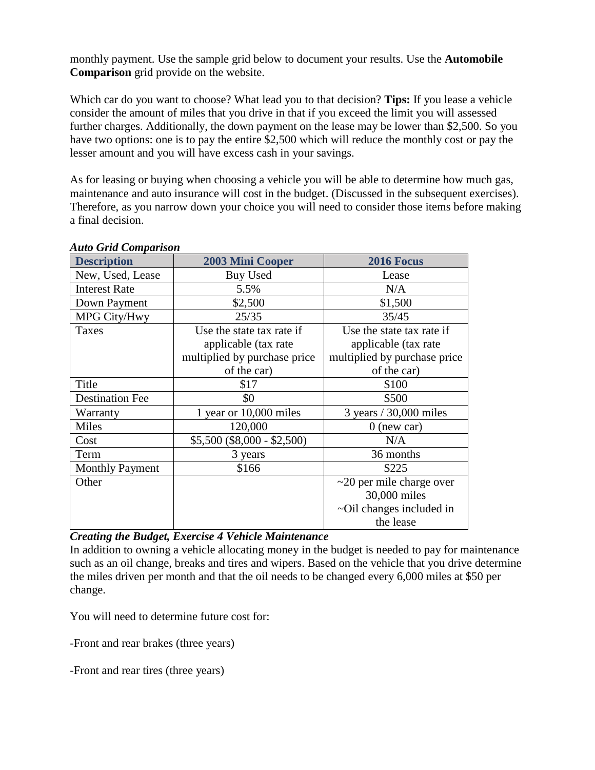monthly payment. Use the sample grid below to document your results. Use the **Automobile Comparison** grid provide on the website.

Which car do you want to choose? What lead you to that decision? **Tips:** If you lease a vehicle consider the amount of miles that you drive in that if you exceed the limit you will assessed further charges. Additionally, the down payment on the lease may be lower than \$2,500. So you have two options: one is to pay the entire \$2,500 which will reduce the monthly cost or pay the lesser amount and you will have excess cash in your savings.

As for leasing or buying when choosing a vehicle you will be able to determine how much gas, maintenance and auto insurance will cost in the budget. (Discussed in the subsequent exercises). Therefore, as you narrow down your choice you will need to consider those items before making a final decision.

| <b>Description</b>     | <b>2003 Mini Cooper</b>      | 2016 Focus                     |
|------------------------|------------------------------|--------------------------------|
| New, Used, Lease       | Buy Used                     | Lease                          |
| <b>Interest Rate</b>   | 5.5%                         | N/A                            |
| Down Payment           | \$2,500                      | \$1,500                        |
| MPG City/Hwy           | 25/35                        | 35/45                          |
| Taxes                  | Use the state tax rate if    | Use the state tax rate if      |
|                        | applicable (tax rate)        | applicable (tax rate)          |
|                        | multiplied by purchase price | multiplied by purchase price   |
|                        | of the car)                  | of the car)                    |
| Title                  | \$17                         | \$100                          |
| <b>Destination Fee</b> | \$0                          | \$500                          |
| Warranty               | 1 year or $10,000$ miles     | 3 years / 30,000 miles         |
| Miles                  | 120,000                      | $0$ (new car)                  |
| Cost                   | $$5,500 ($8,000 - $2,500)$   | N/A                            |
| Term                   | 3 years                      | 36 months                      |
| <b>Monthly Payment</b> | \$166                        | \$225                          |
| Other                  |                              | $\sim$ 20 per mile charge over |
|                        |                              | 30,000 miles                   |
|                        |                              | ~Oil changes included in       |
|                        |                              | the lease                      |

#### *Auto Grid Comparison*

#### *Creating the Budget, Exercise 4 Vehicle Maintenance*

In addition to owning a vehicle allocating money in the budget is needed to pay for maintenance such as an oil change, breaks and tires and wipers. Based on the vehicle that you drive determine the miles driven per month and that the oil needs to be changed every 6,000 miles at \$50 per change.

You will need to determine future cost for:

-Front and rear brakes (three years)

-Front and rear tires (three years)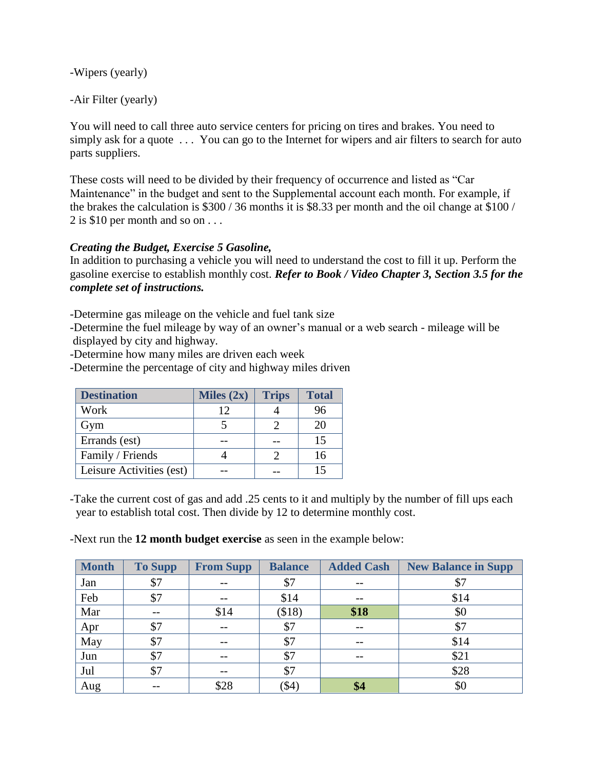-Wipers (yearly)

-Air Filter (yearly)

You will need to call three auto service centers for pricing on tires and brakes. You need to simply ask for a quote ... You can go to the Internet for wipers and air filters to search for auto parts suppliers.

These costs will need to be divided by their frequency of occurrence and listed as "Car Maintenance" in the budget and sent to the Supplemental account each month. For example, if the brakes the calculation is \$300 / 36 months it is \$8.33 per month and the oil change at \$100 / 2 is \$10 per month and so on . . .

# *Creating the Budget, Exercise 5 Gasoline,*

In addition to purchasing a vehicle you will need to understand the cost to fill it up. Perform the gasoline exercise to establish monthly cost. *Refer to Book / Video Chapter 3, Section 3.5 for the complete set of instructions.*

-Determine gas mileage on the vehicle and fuel tank size

-Determine the fuel mileage by way of an owner's manual or a web search - mileage will be displayed by city and highway.

-Determine how many miles are driven each week

-Determine the percentage of city and highway miles driven

| <b>Destination</b>       | Miles $(2x)$ | <b>Trips</b> | <b>Total</b> |
|--------------------------|--------------|--------------|--------------|
| Work                     | 12           |              | 96           |
| Gym                      |              |              | 20           |
| Errands (est)            |              |              | 15           |
| Family / Friends         |              |              | 16           |
| Leisure Activities (est) |              |              |              |

-Take the current cost of gas and add .25 cents to it and multiply by the number of fill ups each year to establish total cost. Then divide by 12 to determine monthly cost.

-Next run the **12 month budget exercise** as seen in the example below:

| <b>Month</b> | <b>To Supp</b> | <b>From Supp</b> | <b>Balance</b> | <b>Added Cash</b> | <b>New Balance in Supp</b> |
|--------------|----------------|------------------|----------------|-------------------|----------------------------|
| Jan          | \$7            |                  | \$7            | --                | \$7                        |
| Feb          | \$7            | $- -$            | \$14           | $- -$             | \$14                       |
| Mar          |                | \$14             | (\$18)         | \$18              | \$0                        |
| Apr          | \$7            |                  | \$7            |                   | \$7                        |
| May          | \$7            |                  | \$7            |                   | \$14                       |
| Jun          | \$7            | $- -$            | \$7            | $- -$             | \$21                       |
| Jul          | \$7            |                  | \$7            |                   | \$28                       |
| Aug          |                | \$28             | (\$4)          | \$4               | \$0                        |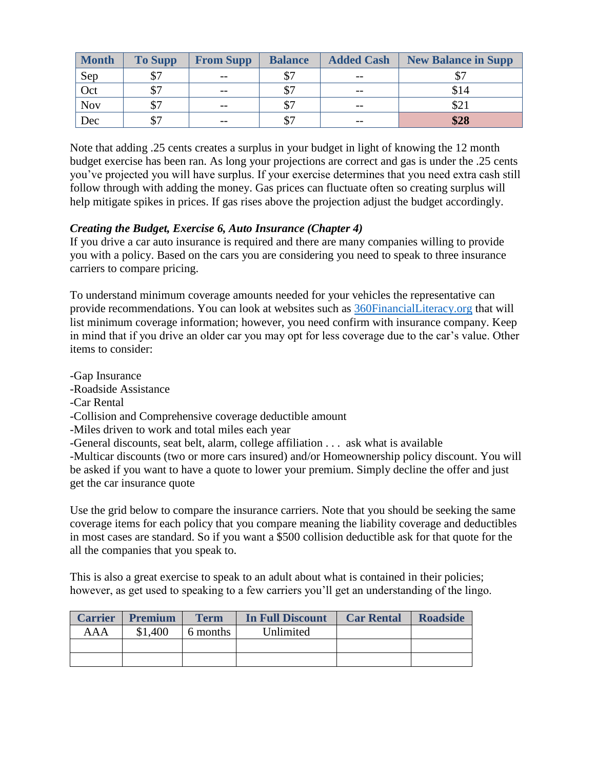| <b>Month</b> | <b>To Supp</b> | <b>From Supp</b> | <b>Balance</b> | <b>Added Cash</b> | <b>New Balance in Supp</b> |
|--------------|----------------|------------------|----------------|-------------------|----------------------------|
| Sep          | ሰጣ             | $- -$            |                | $- -$             |                            |
| Oct          |                | $- -$            | ሰጣ             | $- -$             | \$14                       |
| <b>Nov</b>   |                | $- -$            | ¢7             | $- -$             | \$21                       |
| Dec          |                | $- -$            | \$7            | $- -$             | \$28                       |

Note that adding .25 cents creates a surplus in your budget in light of knowing the 12 month budget exercise has been ran. As long your projections are correct and gas is under the .25 cents you've projected you will have surplus. If your exercise determines that you need extra cash still follow through with adding the money. Gas prices can fluctuate often so creating surplus will help mitigate spikes in prices. If gas rises above the projection adjust the budget accordingly.

## *Creating the Budget, Exercise 6, Auto Insurance (Chapter 4)*

If you drive a car auto insurance is required and there are many companies willing to provide you with a policy. Based on the cars you are considering you need to speak to three insurance carriers to compare pricing.

To understand minimum coverage amounts needed for your vehicles the representative can provide recommendations. You can look at websites such as [360FinancialLiteracy.org](http://www.360financialliteracy.org/Topics/Insurance/Cars-and-Auto-Insurance/State-by-State-Minimum-Coverage-Requirements) that will list minimum coverage information; however, you need confirm with insurance company. Keep in mind that if you drive an older car you may opt for less coverage due to the car's value. Other items to consider:

-Gap Insurance

-Roadside Assistance

-Car Rental

-Collision and Comprehensive coverage deductible amount

-Miles driven to work and total miles each year

-General discounts, seat belt, alarm, college affiliation . . . ask what is available

-Multicar discounts (two or more cars insured) and/or Homeownership policy discount. You will be asked if you want to have a quote to lower your premium. Simply decline the offer and just get the car insurance quote

Use the grid below to compare the insurance carriers. Note that you should be seeking the same coverage items for each policy that you compare meaning the liability coverage and deductibles in most cases are standard. So if you want a \$500 collision deductible ask for that quote for the all the companies that you speak to.

This is also a great exercise to speak to an adult about what is contained in their policies; however, as get used to speaking to a few carriers you'll get an understanding of the lingo.

|     | <b>Carrier Premium</b> | <b>Term</b> | <b>In Full Discount</b> | <b>Car Rental</b> | <b>Roadside</b> |
|-----|------------------------|-------------|-------------------------|-------------------|-----------------|
| AAA | \$1,400                | 6 months    | Unlimited               |                   |                 |
|     |                        |             |                         |                   |                 |
|     |                        |             |                         |                   |                 |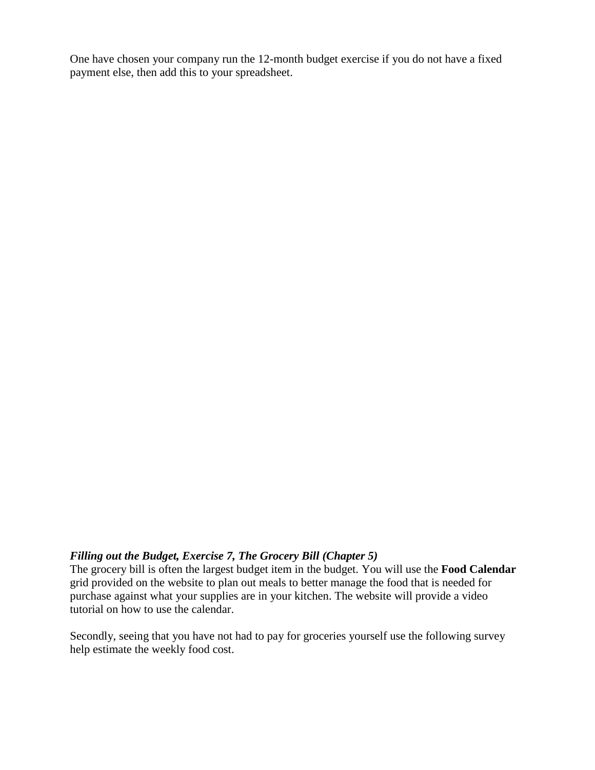One have chosen your company run the 12-month budget exercise if you do not have a fixed payment else, then add this to your spreadsheet.

#### *Filling out the Budget, Exercise 7, The Grocery Bill (Chapter 5)*

The grocery bill is often the largest budget item in the budget. You will use the **Food Calendar** grid provided on the website to plan out meals to better manage the food that is needed for purchase against what your supplies are in your kitchen. The website will provide a video tutorial on how to use the calendar.

Secondly, seeing that you have not had to pay for groceries yourself use the following survey help estimate the weekly food cost.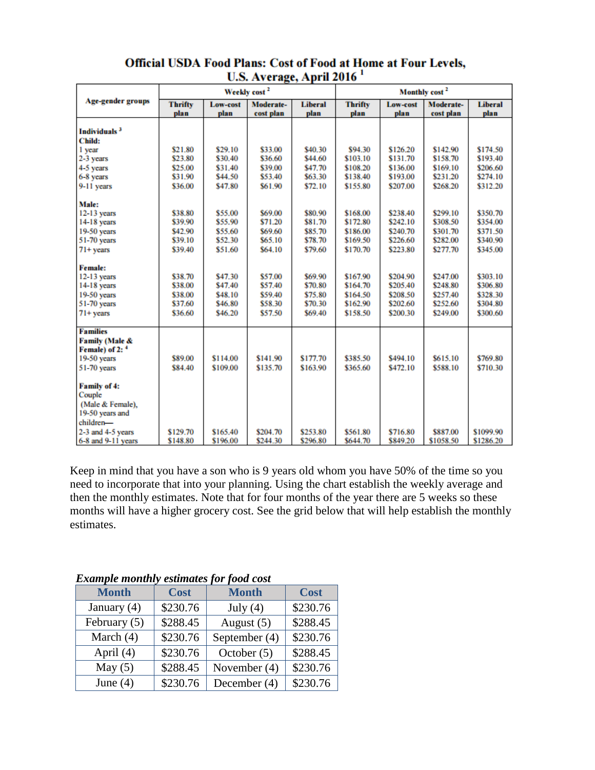|                            | Weekly cost <sup>2</sup> |                 |           |                | Monthly cost <sup>2</sup> |          |           |                |
|----------------------------|--------------------------|-----------------|-----------|----------------|---------------------------|----------|-----------|----------------|
| Age-gender groups          | <b>Thrifty</b>           | <b>Low-cost</b> | Moderate- | <b>Liberal</b> | <b>Thrifty</b>            | Low-cost | Moderate- | <b>Liberal</b> |
|                            | plan                     | plan            | cost plan | plan           | plan                      | plan     | cost plan | plan           |
|                            |                          |                 |           |                |                           |          |           |                |
| Individuals <sup>3</sup>   |                          |                 |           |                |                           |          |           |                |
| <b>Child:</b>              |                          |                 |           |                |                           |          |           |                |
| 1 year                     | \$21.80                  | \$29.10         | \$33.00   | \$40.30        | \$94.30                   | \$126.20 | \$142.90  | \$174.50       |
| 2-3 years                  | \$23.80                  | \$30.40         | \$36.60   | \$44.60        | \$103.10                  | \$131.70 | \$158.70  | \$193.40       |
| 4-5 years                  | \$25.00                  | \$31.40         | \$39.00   | \$47.70        | \$108.20                  | \$136.00 | \$169.10  | \$206.60       |
| 6-8 years                  | \$31.90                  | \$44.50         | \$53.40   | \$63.30        | \$138.40                  | \$193.00 | \$231.20  | \$274.10       |
| 9-11 years                 | \$36.00                  | \$47.80         | \$61.90   | \$72.10        | \$155.80                  | \$207.00 | \$268.20  | \$312.20       |
| Male:                      |                          |                 |           |                |                           |          |           |                |
| $12-13$ years              | \$38.80                  | \$55.00         | \$69.00   | \$80.90        | \$168.00                  | \$238.40 | \$299.10  | \$350.70       |
| $14-18$ years              | \$39.90                  | \$55.90         | \$71.20   | \$81.70        | \$172.80                  | \$242.10 | \$308.50  | \$354.00       |
| 19-50 years                | \$42.90                  | \$55.60         | \$69.60   | \$85.70        | \$186.00                  | \$240.70 | \$301.70  | \$371.50       |
| 51-70 years                | \$39.10                  | \$52.30         | \$65.10   | \$78.70        | \$169.50                  | \$226.60 | \$282.00  | \$340.90       |
| $71+$ years                | \$39.40                  | \$51.60         | \$64.10   | \$79.60        | \$170.70                  | \$223.80 | \$277.70  | \$345.00       |
|                            |                          |                 |           |                |                           |          |           |                |
| <b>Female:</b>             |                          |                 |           |                |                           |          |           |                |
| $12-13$ years              | \$38.70                  | \$47.30         | \$57.00   | \$69.90        | \$167.90                  | \$204.90 | \$247.00  | \$303.10       |
| 14-18 years                | \$38.00                  | \$47.40         | \$57.40   | \$70.80        | \$164.70                  | \$205.40 | \$248.80  | \$306.80       |
| 19-50 years                | \$38.00                  | \$48.10         | \$59.40   | \$75.80        | \$164.50                  | \$208.50 | \$257.40  | \$328.30       |
| 51-70 years                | \$37.60                  | \$46.80         | \$58.30   | \$70.30        | \$162.90                  | \$202.60 | \$252.60  | \$304.80       |
| $71+$ years                | \$36.60                  | \$46.20         | \$57.50   | \$69.40        | \$158.50                  | \$200.30 | \$249.00  | \$300.60       |
|                            |                          |                 |           |                |                           |          |           |                |
| <b>Families</b>            |                          |                 |           |                |                           |          |           |                |
| Family (Male &             |                          |                 |           |                |                           |          |           |                |
| Female) of 2: <sup>4</sup> |                          |                 |           |                |                           |          |           |                |
| 19-50 years                | \$89.00                  | \$114.00        | \$141.90  | \$177.70       | \$385.50                  | \$494.10 | \$615.10  | \$769.80       |
| 51-70 years                | \$84.40                  | \$109.00        | \$135.70  | \$163.90       | \$365.60                  | \$472.10 | \$588.10  | \$710.30       |
| <b>Family of 4:</b>        |                          |                 |           |                |                           |          |           |                |
| Couple                     |                          |                 |           |                |                           |          |           |                |
| (Male & Female),           |                          |                 |           |                |                           |          |           |                |
| 19-50 years and            |                          |                 |           |                |                           |          |           |                |
| children-                  |                          |                 |           |                |                           |          |           |                |
| 2-3 and 4-5 years          | \$129.70                 | \$165.40        | \$204.70  | \$253.80       | \$561.80                  | \$716.80 | \$887.00  | \$1099.90      |
| 6-8 and 9-11 years         | \$148.80                 | \$196.00        | \$244.30  | \$296.80       | \$644.70                  | \$849.20 | \$1058.50 | \$1286.20      |

## Official USDA Food Plans: Cost of Food at Home at Four Levels, U.S. Average, April 2016<sup>1</sup>

Keep in mind that you have a son who is 9 years old whom you have 50% of the time so you need to incorporate that into your planning. Using the chart establish the weekly average and then the monthly estimates. Note that for four months of the year there are 5 weeks so these months will have a higher grocery cost. See the grid below that will help establish the monthly estimates.

| <b>Example monthly estimates for food cost</b> |                             |               |             |  |  |  |
|------------------------------------------------|-----------------------------|---------------|-------------|--|--|--|
| <b>Month</b>                                   | <b>Month</b><br><b>Cost</b> |               | <b>Cost</b> |  |  |  |
| January $(4)$                                  | \$230.76                    | July $(4)$    | \$230.76    |  |  |  |
| February $(5)$                                 | \$288.45                    | August $(5)$  | \$288.45    |  |  |  |
| March $(4)$                                    | \$230.76                    | September (4) | \$230.76    |  |  |  |
| April $(4)$                                    | \$230.76                    | October $(5)$ | \$288.45    |  |  |  |
| May $(5)$                                      | \$288.45                    | November (4)  | \$230.76    |  |  |  |
| June $(4)$                                     | \$230.76                    | December (4)  | \$230.76    |  |  |  |

*Example monthly estimates for food cost*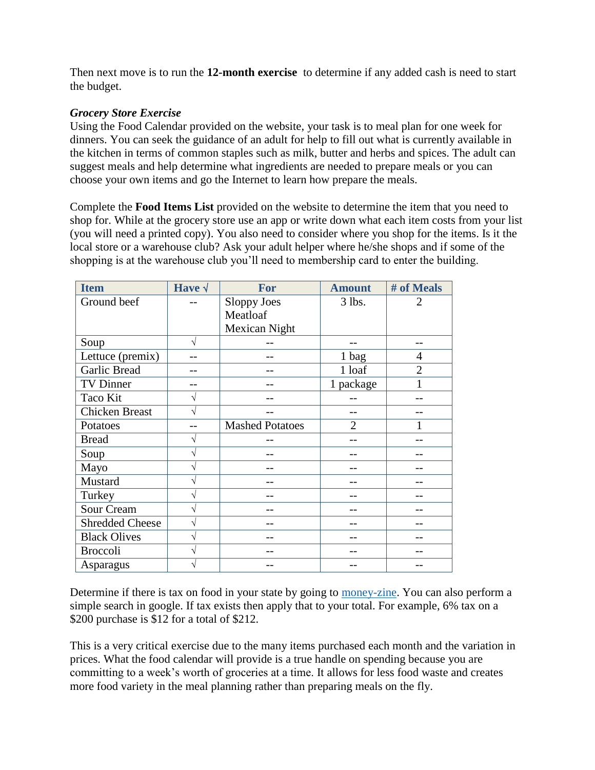Then next move is to run the **12-month exercise** to determine if any added cash is need to start the budget.

## *Grocery Store Exercise*

Using the Food Calendar provided on the website, your task is to meal plan for one week for dinners. You can seek the guidance of an adult for help to fill out what is currently available in the kitchen in terms of common staples such as milk, butter and herbs and spices. The adult can suggest meals and help determine what ingredients are needed to prepare meals or you can choose your own items and go the Internet to learn how prepare the meals.

Complete the **Food Items List** provided on the website to determine the item that you need to shop for. While at the grocery store use an app or write down what each item costs from your list (you will need a printed copy). You also need to consider where you shop for the items. Is it the local store or a warehouse club? Ask your adult helper where he/she shops and if some of the shopping is at the warehouse club you'll need to membership card to enter the building.

| <b>Item</b>            | Have $\sqrt$ | For                    | <b>Amount</b>  | # of Meals     |
|------------------------|--------------|------------------------|----------------|----------------|
| Ground beef            |              | <b>Sloppy Joes</b>     | 3 lbs.         | $\overline{2}$ |
|                        |              | Meatloaf               |                |                |
|                        |              | Mexican Night          |                |                |
| Soup                   | $\sqrt{}$    |                        |                |                |
| Lettuce (premix)       |              |                        | 1 bag          | 4              |
| Garlic Bread           |              |                        | 1 loaf         | $\overline{2}$ |
| TV Dinner              |              |                        | 1 package      |                |
| Taco Kit               | V            |                        |                |                |
| <b>Chicken Breast</b>  | V            |                        |                |                |
| Potatoes               |              | <b>Mashed Potatoes</b> | $\overline{2}$ |                |
| <b>Bread</b>           | V            |                        |                |                |
| Soup                   | V            |                        |                |                |
| Mayo                   | V            |                        |                |                |
| Mustard                | V            |                        |                |                |
| Turkey                 | V            |                        |                |                |
| Sour Cream             | V            |                        |                |                |
| <b>Shredded Cheese</b> | V            |                        |                |                |
| <b>Black Olives</b>    | V            |                        |                |                |
| <b>Broccoli</b>        |              |                        |                |                |
| Asparagus              |              |                        |                |                |

Determine if there is tax on food in your state by going to [money-zine.](http://www.money-zine.com/financial-planning/tax-shelter/state-sales-tax-rates/) You can also perform a simple search in google. If tax exists then apply that to your total. For example, 6% tax on a \$200 purchase is \$12 for a total of \$212.

This is a very critical exercise due to the many items purchased each month and the variation in prices. What the food calendar will provide is a true handle on spending because you are committing to a week's worth of groceries at a time. It allows for less food waste and creates more food variety in the meal planning rather than preparing meals on the fly.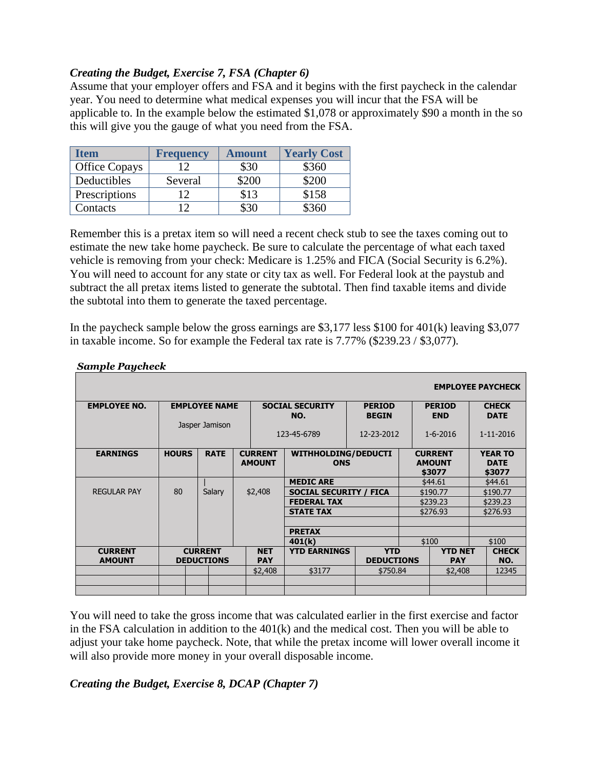# *Creating the Budget, Exercise 7, FSA (Chapter 6)*

Assume that your employer offers and FSA and it begins with the first paycheck in the calendar year. You need to determine what medical expenses you will incur that the FSA will be applicable to. In the example below the estimated \$1,078 or approximately \$90 a month in the so this will give you the gauge of what you need from the FSA.

| Item                 | <b>Frequency</b> | <b>Amount</b> | <b>Yearly Cost</b> |
|----------------------|------------------|---------------|--------------------|
| <b>Office Copays</b> | 12               | \$30          | \$360              |
| Deductibles          | Several          | \$200         | \$200              |
| Prescriptions        | 12 <sup>°</sup>  | \$13          | \$158              |
| Contacts             | 1つ               | 330           | \$360              |

Remember this is a pretax item so will need a recent check stub to see the taxes coming out to estimate the new take home paycheck. Be sure to calculate the percentage of what each taxed vehicle is removing from your check: Medicare is 1.25% and FICA (Social Security is 6.2%). You will need to account for any state or city tax as well. For Federal look at the paystub and subtract the all pretax items listed to generate the subtotal. Then find taxable items and divide the subtotal into them to generate the taxed percentage.

In the paycheck sample below the gross earnings are \$3,177 less \$100 for 401(k) leaving \$3,077 in taxable income. So for example the Federal tax rate is 7.77% (\$239.23 / \$3,077).

|                     |              |                      |                                                                             |                               |                   |  |                                 | <b>EMPLOYEE PAYCHECK</b>      |
|---------------------|--------------|----------------------|-----------------------------------------------------------------------------|-------------------------------|-------------------|--|---------------------------------|-------------------------------|
| <b>EMPLOYEE NO.</b> |              | <b>EMPLOYEE NAME</b> |                                                                             | <b>SOCIAL SECURITY</b>        | <b>PERIOD</b>     |  | <b>PERIOD</b>                   | <b>CHECK</b>                  |
|                     |              | Jasper Jamison       |                                                                             | NO.                           | <b>BEGIN</b>      |  | <b>END</b>                      | <b>DATE</b>                   |
|                     |              |                      |                                                                             | 123-45-6789                   | 12-23-2012        |  | $1 - 6 - 2016$                  | 1-11-2016                     |
| <b>EARNINGS</b>     | <b>HOURS</b> | <b>RATE</b>          | <b>CURRENT</b><br><b>WITHHOLDING/DEDUCTI</b><br><b>AMOUNT</b><br><b>ONS</b> |                               |                   |  | <b>CURRENT</b><br><b>AMOUNT</b> | <b>YEAR TO</b><br><b>DATE</b> |
|                     |              |                      |                                                                             |                               |                   |  | \$3077                          | \$3077                        |
|                     |              |                      |                                                                             | <b>MEDIC ARE</b>              |                   |  | \$44.61                         | \$44.61                       |
| <b>REGULAR PAY</b>  | 80           | Salary               | \$2,408                                                                     | <b>SOCIAL SECURITY / FICA</b> |                   |  | \$190.77                        | \$190.77                      |
|                     |              |                      |                                                                             | <b>FEDERAL TAX</b>            |                   |  | \$239.23                        | \$239.23                      |
|                     |              |                      |                                                                             | <b>STATE TAX</b>              |                   |  | \$276.93                        | \$276.93                      |
|                     |              |                      |                                                                             |                               |                   |  |                                 |                               |
|                     |              |                      |                                                                             | <b>PRETAX</b>                 |                   |  |                                 |                               |
|                     |              |                      |                                                                             | 401(k)                        |                   |  | \$100                           | \$100                         |
| <b>CURRENT</b>      |              | <b>CURRENT</b>       | <b>NET</b>                                                                  | <b>YTD EARNINGS</b>           | <b>YTD</b>        |  | <b>YTD NET</b>                  | <b>CHECK</b>                  |
| <b>AMOUNT</b>       |              | <b>DEDUCTIONS</b>    | <b>PAY</b>                                                                  |                               | <b>DEDUCTIONS</b> |  | <b>PAY</b>                      | NO.                           |
|                     |              |                      | \$2,408                                                                     | \$3177                        | \$750.84          |  | \$2,408                         | 12345                         |
|                     |              |                      |                                                                             |                               |                   |  |                                 |                               |
|                     |              |                      |                                                                             |                               |                   |  |                                 |                               |

#### *Sample Paycheck*

You will need to take the gross income that was calculated earlier in the first exercise and factor in the FSA calculation in addition to the 401(k) and the medical cost. Then you will be able to adjust your take home paycheck. Note, that while the pretax income will lower overall income it will also provide more money in your overall disposable income.

## *Creating the Budget, Exercise 8, DCAP (Chapter 7)*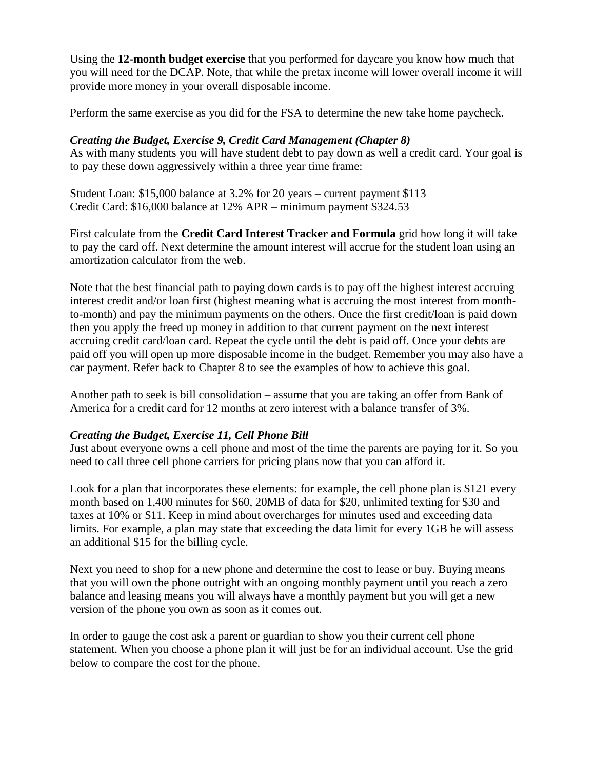Using the **12-month budget exercise** that you performed for daycare you know how much that you will need for the DCAP. Note, that while the pretax income will lower overall income it will provide more money in your overall disposable income.

Perform the same exercise as you did for the FSA to determine the new take home paycheck.

## *Creating the Budget, Exercise 9, Credit Card Management (Chapter 8)*

As with many students you will have student debt to pay down as well a credit card. Your goal is to pay these down aggressively within a three year time frame:

Student Loan: \$15,000 balance at 3.2% for 20 years – current payment \$113 Credit Card: \$16,000 balance at 12% APR – minimum payment \$324.53

First calculate from the **Credit Card Interest Tracker and Formula** grid how long it will take to pay the card off. Next determine the amount interest will accrue for the student loan using an amortization calculator from the web.

Note that the best financial path to paying down cards is to pay off the highest interest accruing interest credit and/or loan first (highest meaning what is accruing the most interest from monthto-month) and pay the minimum payments on the others. Once the first credit/loan is paid down then you apply the freed up money in addition to that current payment on the next interest accruing credit card/loan card. Repeat the cycle until the debt is paid off. Once your debts are paid off you will open up more disposable income in the budget. Remember you may also have a car payment. Refer back to Chapter 8 to see the examples of how to achieve this goal.

Another path to seek is bill consolidation – assume that you are taking an offer from Bank of America for a credit card for 12 months at zero interest with a balance transfer of 3%.

## *Creating the Budget, Exercise 11, Cell Phone Bill*

Just about everyone owns a cell phone and most of the time the parents are paying for it. So you need to call three cell phone carriers for pricing plans now that you can afford it.

Look for a plan that incorporates these elements: for example, the cell phone plan is \$121 every month based on 1,400 minutes for \$60, 20MB of data for \$20, unlimited texting for \$30 and taxes at 10% or \$11. Keep in mind about overcharges for minutes used and exceeding data limits. For example, a plan may state that exceeding the data limit for every 1GB he will assess an additional \$15 for the billing cycle.

Next you need to shop for a new phone and determine the cost to lease or buy. Buying means that you will own the phone outright with an ongoing monthly payment until you reach a zero balance and leasing means you will always have a monthly payment but you will get a new version of the phone you own as soon as it comes out.

In order to gauge the cost ask a parent or guardian to show you their current cell phone statement. When you choose a phone plan it will just be for an individual account. Use the grid below to compare the cost for the phone.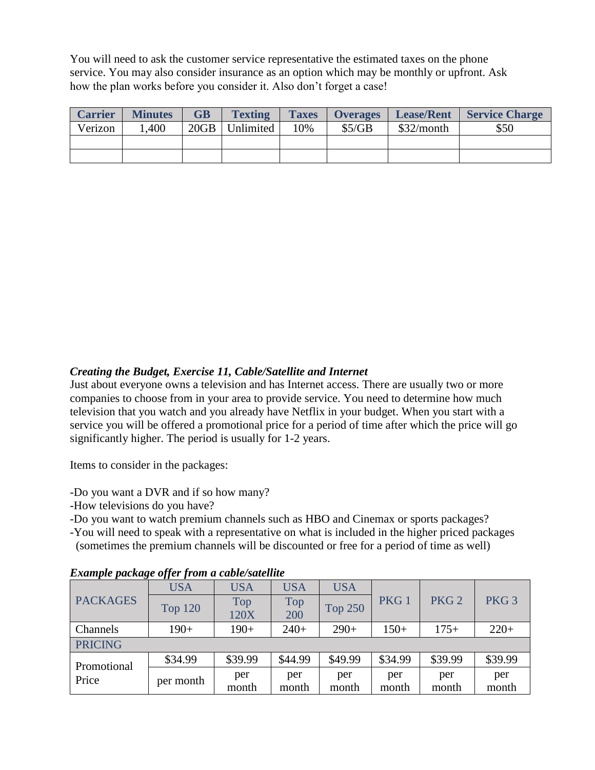You will need to ask the customer service representative the estimated taxes on the phone service. You may also consider insurance as an option which may be monthly or upfront. Ask how the plan works before you consider it. Also don't forget a case!

| <b>Carrier</b> | <b>Minutes</b> | <b>GB</b> | <b>Texting</b> | <b>Taxes</b> | <b>Overages</b> | <b>Lease/Rent</b> | <b>Service Charge</b> |
|----------------|----------------|-----------|----------------|--------------|-----------------|-------------------|-----------------------|
| Verizon        | ,400           | 20GB      | Unlimited      | 10%          | \$5/GB          | \$32/month        | \$50                  |
|                |                |           |                |              |                 |                   |                       |
|                |                |           |                |              |                 |                   |                       |

#### *Creating the Budget, Exercise 11, Cable/Satellite and Internet*

Just about everyone owns a television and has Internet access. There are usually two or more companies to choose from in your area to provide service. You need to determine how much television that you watch and you already have Netflix in your budget. When you start with a service you will be offered a promotional price for a period of time after which the price will go significantly higher. The period is usually for 1-2 years.

Items to consider in the packages:

-Do you want a DVR and if so how many?

-How televisions do you have?

-Do you want to watch premium channels such as HBO and Cinemax or sports packages?

-You will need to speak with a representative on what is included in the higher priced packages

(sometimes the premium channels will be discounted or free for a period of time as well)

| Enample paenage offer from a cable, salemne |                |              |              |                |                  |                  |                  |
|---------------------------------------------|----------------|--------------|--------------|----------------|------------------|------------------|------------------|
|                                             | <b>USA</b>     | <b>USA</b>   | <b>USA</b>   | <b>USA</b>     |                  |                  |                  |
| <b>PACKAGES</b>                             | <b>Top 120</b> | Top<br>120X  | Top<br>200   | <b>Top 250</b> | PKG <sub>1</sub> | PKG <sub>2</sub> | PKG <sub>3</sub> |
| Channels                                    | $190+$         | $190+$       | $240+$       | $290+$         | $150+$           | $175+$           | $220+$           |
| <b>PRICING</b>                              |                |              |              |                |                  |                  |                  |
|                                             | \$34.99        | \$39.99      | \$44.99      | \$49.99        | \$34.99          | \$39.99          | \$39.99          |
| Promotional<br>Price                        | per month      | per<br>month | per<br>month | per<br>month   | per<br>month     | per<br>month     | per<br>month     |

#### *Example package offer from a cable/satellite*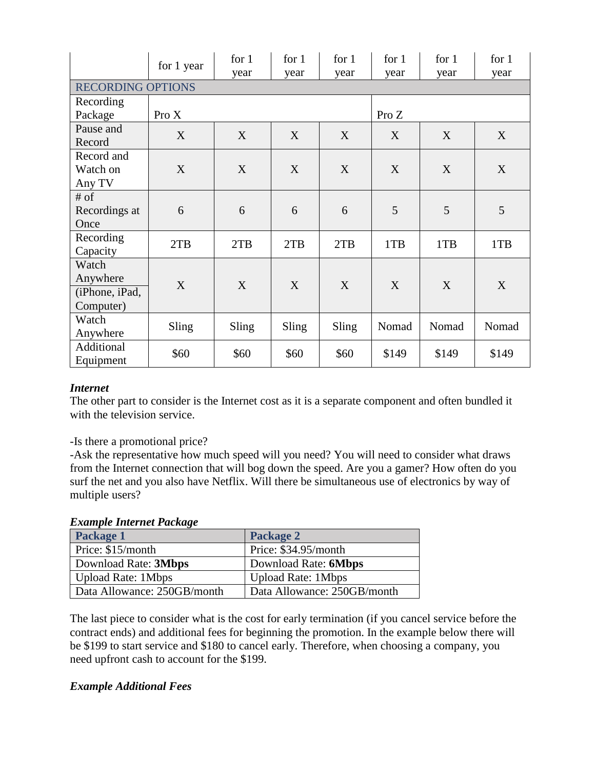|                          | for 1 year | for $1$<br>year | for $1$<br>year | for 1<br>year | for $1$<br>year | for $1$<br>year | for $1$<br>year |
|--------------------------|------------|-----------------|-----------------|---------------|-----------------|-----------------|-----------------|
| <b>RECORDING OPTIONS</b> |            |                 |                 |               |                 |                 |                 |
| Recording                |            |                 |                 |               |                 |                 |                 |
| Package                  | Pro X      |                 |                 |               | Pro $Z$         |                 |                 |
| Pause and                | X          | X               | X               | X             | X               | X               | X               |
| Record                   |            |                 |                 |               |                 |                 |                 |
| Record and               |            |                 |                 |               |                 |                 |                 |
| Watch on                 | X          | X               | X               | X             | X               | X               | X               |
| Any TV                   |            |                 |                 |               |                 |                 |                 |
| # of                     |            |                 |                 |               |                 |                 |                 |
| Recordings at            | 6          | 6               | 6               | 6             | 5               | 5               | 5               |
| Once                     |            |                 |                 |               |                 |                 |                 |
| Recording                | 2TB        | 2TB             | 2TB             | 2TB           | 1TB             | 1TB             | 1TB             |
| Capacity                 |            |                 |                 |               |                 |                 |                 |
| Watch                    |            |                 |                 |               |                 |                 |                 |
| Anywhere                 | X          | X               | X               | X             | X               | X               | X               |
| (iPhone, iPad,           |            |                 |                 |               |                 |                 |                 |
| Computer)                |            |                 |                 |               |                 |                 |                 |
| Watch                    | Sling      | Sling           | Sling           | Sling         | Nomad           | Nomad           | Nomad           |
| Anywhere                 |            |                 |                 |               |                 |                 |                 |
| Additional               | \$60       | \$60            | \$60            | \$60          | \$149           | \$149           | \$149           |
| Equipment                |            |                 |                 |               |                 |                 |                 |

## *Internet*

The other part to consider is the Internet cost as it is a separate component and often bundled it with the television service.

-Is there a promotional price?

-Ask the representative how much speed will you need? You will need to consider what draws from the Internet connection that will bog down the speed. Are you a gamer? How often do you surf the net and you also have Netflix. Will there be simultaneous use of electronics by way of multiple users?

*Example Internet Package* 

| Package 1                   | Package 2                   |
|-----------------------------|-----------------------------|
| Price: \$15/month           | Price: \$34.95/month        |
| Download Rate: 3Mbps        | Download Rate: 6Mbps        |
| <b>Upload Rate: 1Mbps</b>   | <b>Upload Rate: 1Mbps</b>   |
| Data Allowance: 250GB/month | Data Allowance: 250GB/month |

The last piece to consider what is the cost for early termination (if you cancel service before the contract ends) and additional fees for beginning the promotion. In the example below there will be \$199 to start service and \$180 to cancel early. Therefore, when choosing a company, you need upfront cash to account for the \$199.

#### *Example Additional Fees*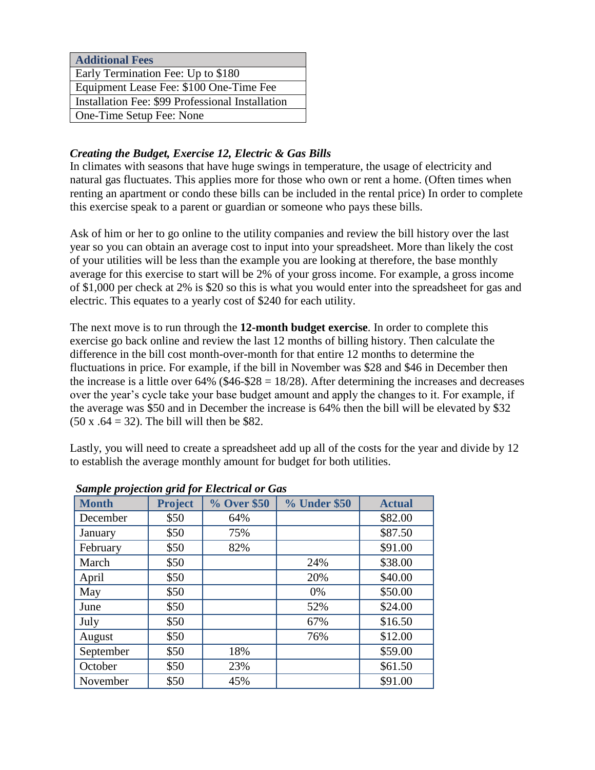| <b>Additional Fees</b>                           |
|--------------------------------------------------|
| Early Termination Fee: Up to \$180               |
| Equipment Lease Fee: \$100 One-Time Fee          |
| Installation Fee: \$99 Professional Installation |
| One-Time Setup Fee: None                         |

# *Creating the Budget, Exercise 12, Electric & Gas Bills*

In climates with seasons that have huge swings in temperature, the usage of electricity and natural gas fluctuates. This applies more for those who own or rent a home. (Often times when renting an apartment or condo these bills can be included in the rental price) In order to complete this exercise speak to a parent or guardian or someone who pays these bills.

Ask of him or her to go online to the utility companies and review the bill history over the last year so you can obtain an average cost to input into your spreadsheet. More than likely the cost of your utilities will be less than the example you are looking at therefore, the base monthly average for this exercise to start will be 2% of your gross income. For example, a gross income of \$1,000 per check at 2% is \$20 so this is what you would enter into the spreadsheet for gas and electric. This equates to a yearly cost of \$240 for each utility.

The next move is to run through the **12-month budget exercise**. In order to complete this exercise go back online and review the last 12 months of billing history. Then calculate the difference in the bill cost month-over-month for that entire 12 months to determine the fluctuations in price. For example, if the bill in November was \$28 and \$46 in December then the increase is a little over  $64\%$  (\$46-\$28 = 18/28). After determining the increases and decreases over the year's cycle take your base budget amount and apply the changes to it. For example, if the average was \$50 and in December the increase is 64% then the bill will be elevated by \$32  $(50 \times .64 = 32)$ . The bill will then be \$82.

Lastly, you will need to create a spreadsheet add up all of the costs for the year and divide by 12 to establish the average monthly amount for budget for both utilities.

| <b>Month</b> | <b>Project</b> | % Over \$50 | % Under \$50 | <b>Actual</b> |
|--------------|----------------|-------------|--------------|---------------|
| December     | \$50           | 64%         |              | \$82.00       |
| January      | \$50           | 75%         |              | \$87.50       |
| February     | \$50           | 82%         |              | \$91.00       |
| March        | \$50           |             | 24%          | \$38.00       |
| April        | \$50           |             | 20%          | \$40.00       |
| May          | \$50           |             | 0%           | \$50.00       |
| June         | \$50           |             | 52%          | \$24.00       |
| July         | \$50           |             | 67%          | \$16.50       |
| August       | \$50           |             | 76%          | \$12.00       |
| September    | \$50           | 18%         |              | \$59.00       |
| October      | \$50           | 23%         |              | \$61.50       |
| November     | \$50           | 45%         |              | \$91.00       |

*Sample projection grid for Electrical or Gas*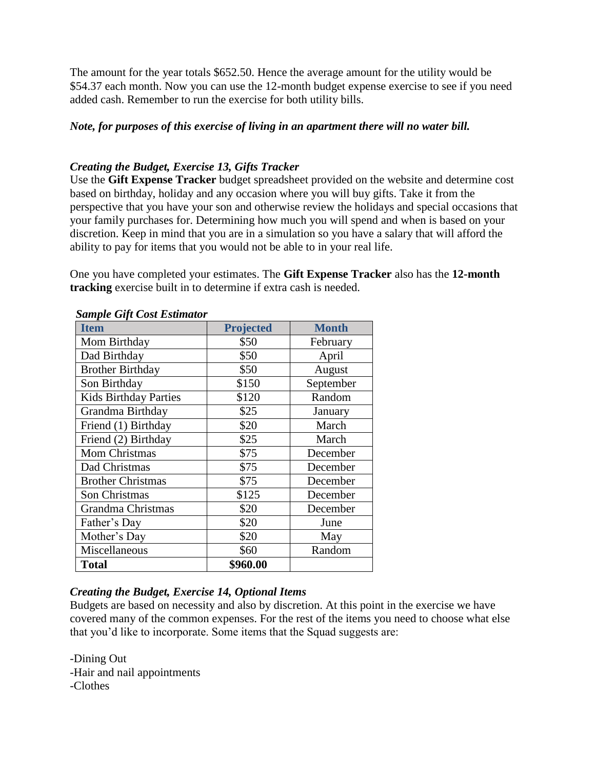The amount for the year totals \$652.50. Hence the average amount for the utility would be \$54.37 each month. Now you can use the 12-month budget expense exercise to see if you need added cash. Remember to run the exercise for both utility bills.

#### *Note, for purposes of this exercise of living in an apartment there will no water bill.*

## *Creating the Budget, Exercise 13, Gifts Tracker*

Use the **Gift Expense Tracker** budget spreadsheet provided on the website and determine cost based on birthday, holiday and any occasion where you will buy gifts. Take it from the perspective that you have your son and otherwise review the holidays and special occasions that your family purchases for. Determining how much you will spend and when is based on your discretion. Keep in mind that you are in a simulation so you have a salary that will afford the ability to pay for items that you would not be able to in your real life.

One you have completed your estimates. The **Gift Expense Tracker** also has the **12-month tracking** exercise built in to determine if extra cash is needed.

| <b>Item</b>                  | <b>Projected</b> | <b>Month</b> |
|------------------------------|------------------|--------------|
| Mom Birthday                 | \$50             | February     |
| Dad Birthday                 | \$50             | April        |
| <b>Brother Birthday</b>      | \$50             | August       |
| Son Birthday                 | \$150            | September    |
| <b>Kids Birthday Parties</b> | \$120            | Random       |
| Grandma Birthday             | \$25             | January      |
| Friend (1) Birthday          | \$20             | March        |
| Friend (2) Birthday          | \$25             | March        |
| Mom Christmas                | \$75             | December     |
| Dad Christmas                | \$75             | December     |
| <b>Brother Christmas</b>     | \$75             | December     |
| Son Christmas                | \$125            | December     |
| Grandma Christmas            | \$20             | December     |
| Father's Day                 | \$20             | June         |
| Mother's Day                 | \$20             | May          |
| Miscellaneous                | \$60             | Random       |
| Total                        | \$960.00         |              |

#### *Sample Gift Cost Estimator*

#### *Creating the Budget, Exercise 14, Optional Items*

Budgets are based on necessity and also by discretion. At this point in the exercise we have covered many of the common expenses. For the rest of the items you need to choose what else that you'd like to incorporate. Some items that the Squad suggests are:

-Dining Out -Hair and nail appointments -Clothes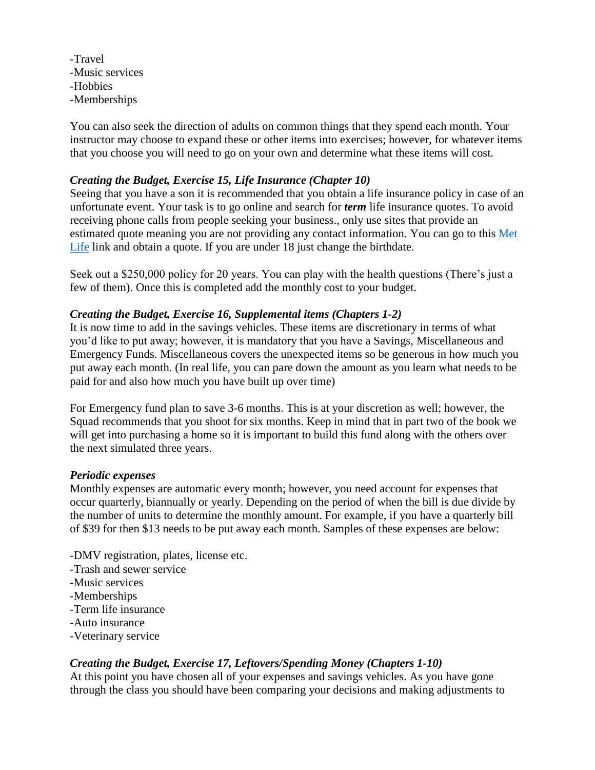-Travel -Music services -Hobbies -Memberships

You can also seek the direction of adults on common things that they spend each month. Your instructor may choose to expand these or other items into exercises; however, for whatever items that you choose you will need to go on your own and determine what these items will cost.

## *Creating the Budget, Exercise 15, Life Insurance (Chapter 10)*

Seeing that you have a son it is recommended that you obtain a life insurance policy in case of an unfortunate event. Your task is to go online and search for *term* life insurance quotes. To avoid receiving phone calls from people seeking your business., only use sites that provide an estimated quote meaning you are not providing any contact information. You can go to this [Met](CHP%201%20Developing%20the%20Budget.docx)  [Life](CHP%201%20Developing%20the%20Budget.docx) link and obtain a quote. If you are under 18 just change the birthdate.

Seek out a \$250,000 policy for 20 years. You can play with the health questions (There's just a few of them). Once this is completed add the monthly cost to your budget.

#### *Creating the Budget, Exercise 16, Supplemental items (Chapters 1-2)*

It is now time to add in the savings vehicles. These items are discretionary in terms of what you'd like to put away; however, it is mandatory that you have a Savings, Miscellaneous and Emergency Funds. Miscellaneous covers the unexpected items so be generous in how much you put away each month. (In real life, you can pare down the amount as you learn what needs to be paid for and also how much you have built up over time)

For Emergency fund plan to save 3-6 months. This is at your discretion as well; however, the Squad recommends that you shoot for six months. Keep in mind that in part two of the book we will get into purchasing a home so it is important to build this fund along with the others over the next simulated three years.

#### *Periodic expenses*

Monthly expenses are automatic every month; however, you need account for expenses that occur quarterly, biannually or yearly. Depending on the period of when the bill is due divide by the number of units to determine the monthly amount. For example, if you have a quarterly bill of \$39 for then \$13 needs to be put away each month. Samples of these expenses are below:

-DMV registration, plates, license etc.

- -Trash and sewer service
- -Music services
- -Memberships
- -Term life insurance
- -Auto insurance
- -Veterinary service

#### *Creating the Budget, Exercise 17, Leftovers/Spending Money (Chapters 1-10)*

At this point you have chosen all of your expenses and savings vehicles. As you have gone through the class you should have been comparing your decisions and making adjustments to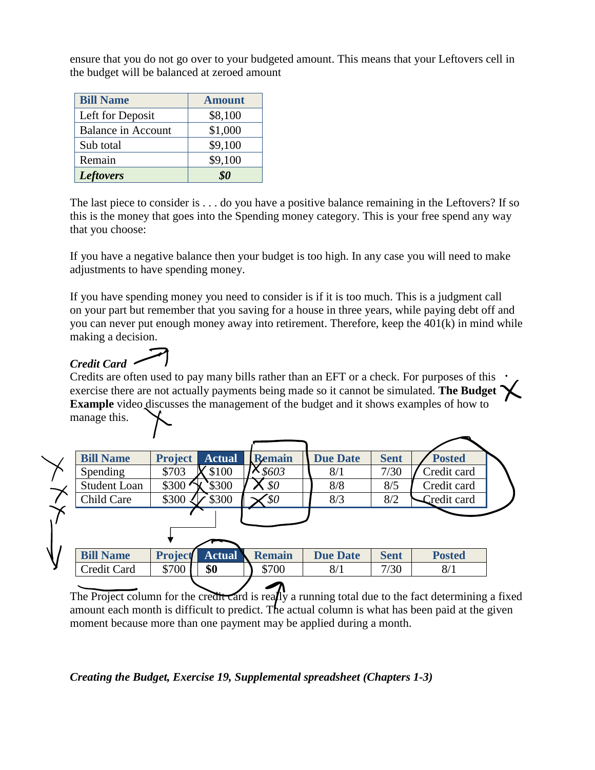ensure that you do not go over to your budgeted amount. This means that your Leftovers cell in the budget will be balanced at zeroed amount

| <b>Bill Name</b>          | <b>Amount</b> |
|---------------------------|---------------|
| Left for Deposit          | \$8,100       |
| <b>Balance in Account</b> | \$1,000       |
| Sub total                 | \$9,100       |
| Remain                    | \$9,100       |
| <b>Leftovers</b>          |               |

The last piece to consider is . . . do you have a positive balance remaining in the Leftovers? If so this is the money that goes into the Spending money category. This is your free spend any way that you choose:

If you have a negative balance then your budget is too high. In any case you will need to make adjustments to have spending money.

If you have spending money you need to consider is if it is too much. This is a judgment call on your part but remember that you saving for a house in three years, while paying debt off and you can never put enough money away into retirement. Therefore, keep the 401(k) in mind while making a decision.

# *Credit Card*

Credits are often used to pay many bills rather than an EFT or a check. For purposes of this exercise there are not actually payments being made so it cannot be simulated. **The Budget Example** video discusses the management of the budget and it shows examples of how to manage this.

| manage this. |  |
|--------------|--|
|              |  |

| <b>Bill Name</b>    | <b>Project</b>     | <b>Actual</b> | <b>Remain</b> | <b>Due Date</b> | <b>Sent</b> | <b>Posted</b> |  |
|---------------------|--------------------|---------------|---------------|-----------------|-------------|---------------|--|
| Spending            | \$703              | \$100         | \$603         | 8/1             | 7/30        | Credit card   |  |
| <b>Student Loan</b> | \$300 <sub>3</sub> | \$300         | \$0           | 8/8             | 8/5         | Credit card   |  |
| Child Care          | \$300              | \$300         | `\$0          | 8/3             | 8/2         | Credit card   |  |
|                     |                    |               |               |                 |             |               |  |
|                     |                    |               |               |                 |             |               |  |
|                     |                    |               |               |                 |             |               |  |
| <b>Bill Name</b>    | <b>Project</b>     | <b>Actual</b> | <b>Remain</b> | <b>Due Date</b> | <b>Sent</b> | <b>Posted</b> |  |
| Credit Card         | \$700              | \$0           | \$700         | 8/1             | 7/30        | 8/1           |  |
|                     |                    |               |               |                 |             |               |  |

The Project column for the credit card is really a running total due to the fact determining a fixed amount each month is difficult to predict. The actual column is what has been paid at the given moment because more than one payment may be applied during a month.

# *Creating the Budget, Exercise 19, Supplemental spreadsheet (Chapters 1-3)*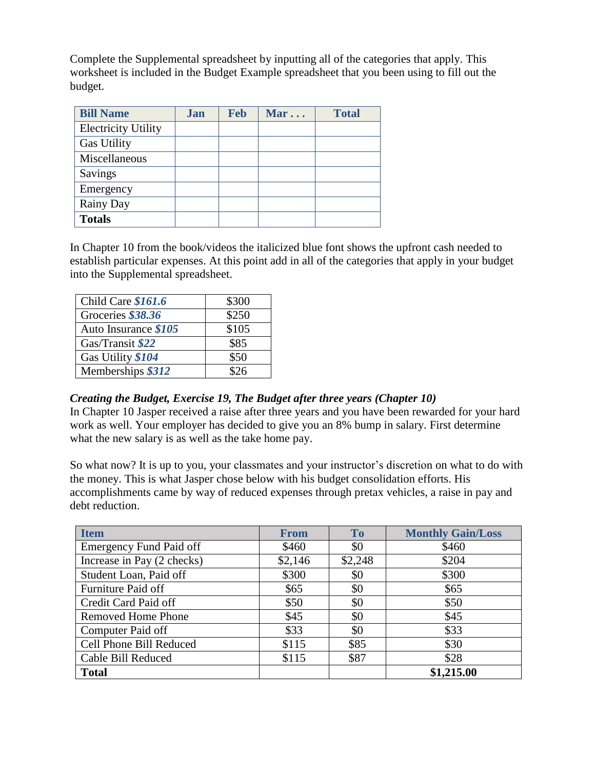Complete the Supplemental spreadsheet by inputting all of the categories that apply. This worksheet is included in the Budget Example spreadsheet that you been using to fill out the budget.

| <b>Bill Name</b>           | Jan | <b>Feb</b> | Mar | <b>Total</b> |
|----------------------------|-----|------------|-----|--------------|
| <b>Electricity Utility</b> |     |            |     |              |
| <b>Gas Utility</b>         |     |            |     |              |
| Miscellaneous              |     |            |     |              |
| Savings                    |     |            |     |              |
| Emergency                  |     |            |     |              |
| Rainy Day                  |     |            |     |              |
| <b>Totals</b>              |     |            |     |              |

In Chapter 10 from the book/videos the italicized blue font shows the upfront cash needed to establish particular expenses. At this point add in all of the categories that apply in your budget into the Supplemental spreadsheet.

| Child Care \$161.6   | \$300 |
|----------------------|-------|
| Groceries \$38.36    | \$250 |
| Auto Insurance \$105 | \$105 |
| Gas/Transit \$22     | \$85  |
| Gas Utility \$104    | \$50  |
| Memberships \$312    | 826   |

## *Creating the Budget, Exercise 19, The Budget after three years (Chapter 10)*

In Chapter 10 Jasper received a raise after three years and you have been rewarded for your hard work as well. Your employer has decided to give you an 8% bump in salary. First determine what the new salary is as well as the take home pay.

So what now? It is up to you, your classmates and your instructor's discretion on what to do with the money. This is what Jasper chose below with his budget consolidation efforts. His accomplishments came by way of reduced expenses through pretax vehicles, a raise in pay and debt reduction.

| <b>Item</b>                    | <b>From</b> | <b>To</b> | <b>Monthly Gain/Loss</b> |
|--------------------------------|-------------|-----------|--------------------------|
| <b>Emergency Fund Paid off</b> | \$460       | \$0       | \$460                    |
| Increase in Pay (2 checks)     | \$2,146     | \$2,248   | \$204                    |
| Student Loan, Paid off         | \$300       | \$0       | \$300                    |
| Furniture Paid off             | \$65        | \$0       | \$65                     |
| Credit Card Paid off           | \$50        | \$0       | \$50                     |
| <b>Removed Home Phone</b>      | \$45        | \$0       | \$45                     |
| Computer Paid off              | \$33        | \$0       | \$33                     |
| Cell Phone Bill Reduced        | \$115       | \$85      | \$30                     |
| Cable Bill Reduced             | \$115       | \$87      | \$28                     |
| <b>Total</b>                   |             |           | \$1,215.00               |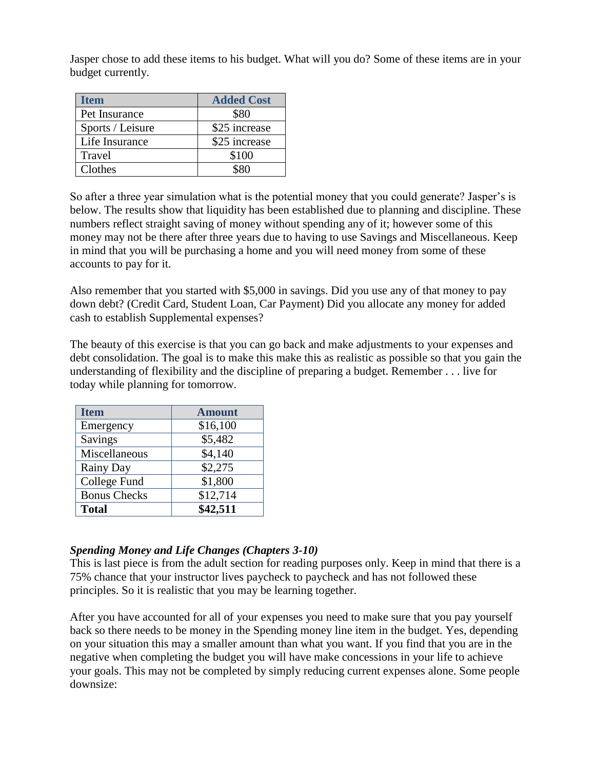Jasper chose to add these items to his budget. What will you do? Some of these items are in your budget currently.

| Item             | <b>Added Cost</b> |
|------------------|-------------------|
| Pet Insurance    | \$80              |
| Sports / Leisure | \$25 increase     |
| Life Insurance   | \$25 increase     |
| Travel           | \$100             |
| Clothes          | \$80              |

So after a three year simulation what is the potential money that you could generate? Jasper's is below. The results show that liquidity has been established due to planning and discipline. These numbers reflect straight saving of money without spending any of it; however some of this money may not be there after three years due to having to use Savings and Miscellaneous. Keep in mind that you will be purchasing a home and you will need money from some of these accounts to pay for it.

Also remember that you started with \$5,000 in savings. Did you use any of that money to pay down debt? (Credit Card, Student Loan, Car Payment) Did you allocate any money for added cash to establish Supplemental expenses?

The beauty of this exercise is that you can go back and make adjustments to your expenses and debt consolidation. The goal is to make this make this as realistic as possible so that you gain the understanding of flexibility and the discipline of preparing a budget. Remember . . . live for today while planning for tomorrow.

| <b>Item</b>         | <b>Amount</b> |
|---------------------|---------------|
| Emergency           | \$16,100      |
| Savings             | \$5,482       |
| Miscellaneous       | \$4,140       |
| <b>Rainy Day</b>    | \$2,275       |
| College Fund        | \$1,800       |
| <b>Bonus Checks</b> | \$12,714      |
| <b>Total</b>        | \$42,511      |

## *Spending Money and Life Changes (Chapters 3-10)*

This is last piece is from the adult section for reading purposes only. Keep in mind that there is a 75% chance that your instructor lives paycheck to paycheck and has not followed these principles. So it is realistic that you may be learning together.

After you have accounted for all of your expenses you need to make sure that you pay yourself back so there needs to be money in the Spending money line item in the budget. Yes, depending on your situation this may a smaller amount than what you want. If you find that you are in the negative when completing the budget you will have make concessions in your life to achieve your goals. This may not be completed by simply reducing current expenses alone. Some people downsize: